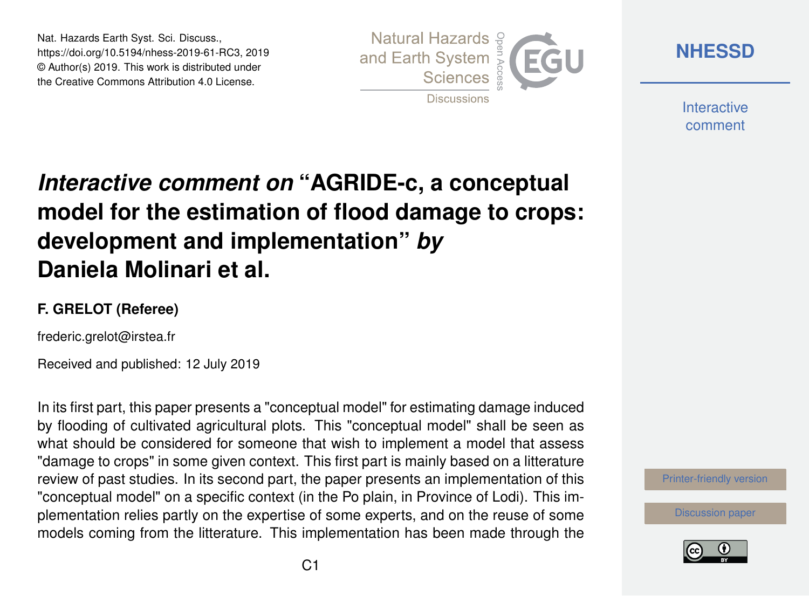Nat. Hazards Earth Syst. Sci. Discuss., https://doi.org/10.5194/nhess-2019-61-RC3, 2019 © Author(s) 2019. This work is distributed under the Creative Commons Attribution 4.0 License.



**[NHESSD](https://www.nat-hazards-earth-syst-sci-discuss.net/)**

**Interactive** comment

# *Interactive comment on* **"AGRIDE-c, a conceptual model for the estimation of flood damage to crops: development and implementation"** *by* **Daniela Molinari et al.**

#### **F. GRELOT (Referee)**

frederic.grelot@irstea.fr

Received and published: 12 July 2019

In its first part, this paper presents a "conceptual model" for estimating damage induced by flooding of cultivated agricultural plots. This "conceptual model" shall be seen as what should be considered for someone that wish to implement a model that assess "damage to crops" in some given context. This first part is mainly based on a litterature review of past studies. In its second part, the paper presents an implementation of this "conceptual model" on a specific context (in the Po plain, in Province of Lodi). This implementation relies partly on the expertise of some experts, and on the reuse of some models coming from the litterature. This implementation has been made through the



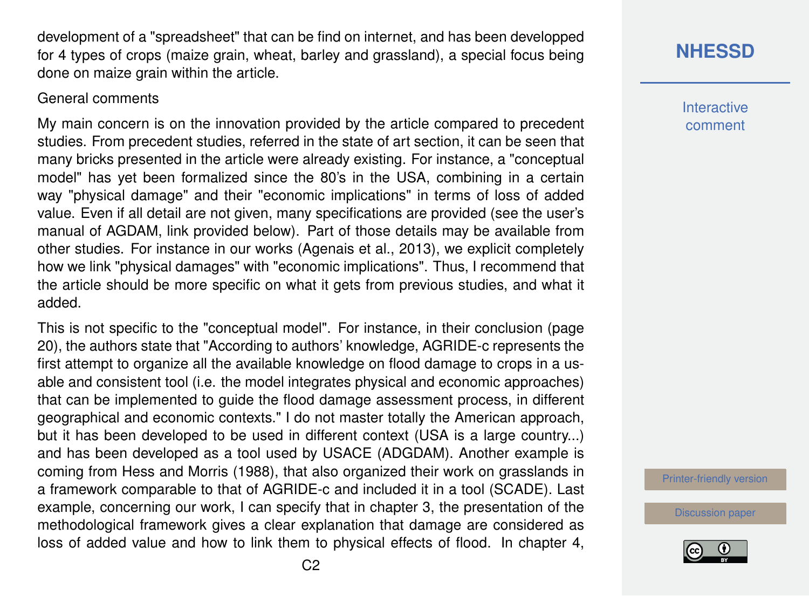development of a "spreadsheet" that can be find on internet, and has been developped for 4 types of crops (maize grain, wheat, barley and grassland), a special focus being done on maize grain within the article.

#### General comments

My main concern is on the innovation provided by the article compared to precedent studies. From precedent studies, referred in the state of art section, it can be seen that many bricks presented in the article were already existing. For instance, a "conceptual model" has yet been formalized since the 80's in the USA, combining in a certain way "physical damage" and their "economic implications" in terms of loss of added value. Even if all detail are not given, many specifications are provided (see the user's manual of AGDAM, link provided below). Part of those details may be available from other studies. For instance in our works (Agenais et al., 2013), we explicit completely how we link "physical damages" with "economic implications". Thus, I recommend that the article should be more specific on what it gets from previous studies, and what it added.

This is not specific to the "conceptual model". For instance, in their conclusion (page 20), the authors state that "According to authors' knowledge, AGRIDE-c represents the first attempt to organize all the available knowledge on flood damage to crops in a usable and consistent tool (i.e. the model integrates physical and economic approaches) that can be implemented to guide the flood damage assessment process, in different geographical and economic contexts." I do not master totally the American approach, but it has been developed to be used in different context (USA is a large country...) and has been developed as a tool used by USACE (ADGDAM). Another example is coming from Hess and Morris (1988), that also organized their work on grasslands in a framework comparable to that of AGRIDE-c and included it in a tool (SCADE). Last example, concerning our work, I can specify that in chapter 3, the presentation of the methodological framework gives a clear explanation that damage are considered as loss of added value and how to link them to physical effects of flood. In chapter 4,

# **[NHESSD](https://www.nat-hazards-earth-syst-sci-discuss.net/)**

**Interactive** comment

[Printer-friendly version](https://www.nat-hazards-earth-syst-sci-discuss.net/nhess-2019-61/nhess-2019-61-RC3-print.pdf)

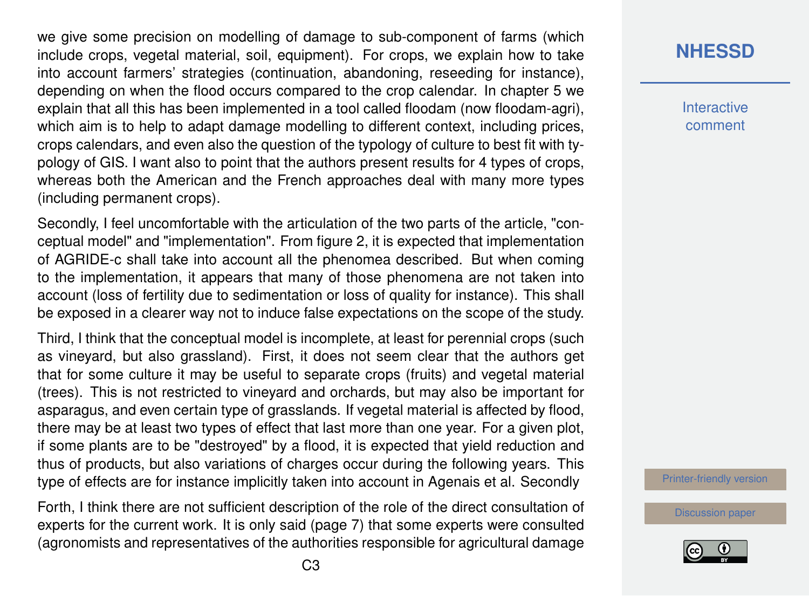we give some precision on modelling of damage to sub-component of farms (which include crops, vegetal material, soil, equipment). For crops, we explain how to take into account farmers' strategies (continuation, abandoning, reseeding for instance), depending on when the flood occurs compared to the crop calendar. In chapter 5 we explain that all this has been implemented in a tool called floodam (now floodam-agri), which aim is to help to adapt damage modelling to different context, including prices, crops calendars, and even also the question of the typology of culture to best fit with typology of GIS. I want also to point that the authors present results for 4 types of crops, whereas both the American and the French approaches deal with many more types (including permanent crops).

Secondly, I feel uncomfortable with the articulation of the two parts of the article, "conceptual model" and "implementation". From figure 2, it is expected that implementation of AGRIDE-c shall take into account all the phenomea described. But when coming to the implementation, it appears that many of those phenomena are not taken into account (loss of fertility due to sedimentation or loss of quality for instance). This shall be exposed in a clearer way not to induce false expectations on the scope of the study.

Third, I think that the conceptual model is incomplete, at least for perennial crops (such as vineyard, but also grassland). First, it does not seem clear that the authors get that for some culture it may be useful to separate crops (fruits) and vegetal material (trees). This is not restricted to vineyard and orchards, but may also be important for asparagus, and even certain type of grasslands. If vegetal material is affected by flood, there may be at least two types of effect that last more than one year. For a given plot, if some plants are to be "destroyed" by a flood, it is expected that yield reduction and thus of products, but also variations of charges occur during the following years. This type of effects are for instance implicitly taken into account in Agenais et al. Secondly

Forth, I think there are not sufficient description of the role of the direct consultation of experts for the current work. It is only said (page 7) that some experts were consulted (agronomists and representatives of the authorities responsible for agricultural damage

### **[NHESSD](https://www.nat-hazards-earth-syst-sci-discuss.net/)**

**Interactive** comment

[Printer-friendly version](https://www.nat-hazards-earth-syst-sci-discuss.net/nhess-2019-61/nhess-2019-61-RC3-print.pdf)

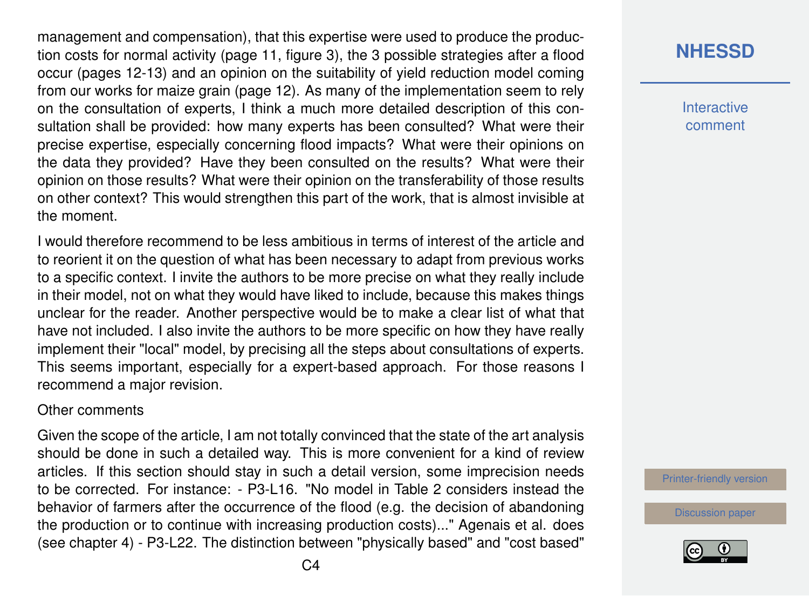management and compensation), that this expertise were used to produce the production costs for normal activity (page 11, figure 3), the 3 possible strategies after a flood occur (pages 12-13) and an opinion on the suitability of yield reduction model coming from our works for maize grain (page 12). As many of the implementation seem to rely on the consultation of experts, I think a much more detailed description of this consultation shall be provided: how many experts has been consulted? What were their precise expertise, especially concerning flood impacts? What were their opinions on the data they provided? Have they been consulted on the results? What were their opinion on those results? What were their opinion on the transferability of those results on other context? This would strengthen this part of the work, that is almost invisible at the moment.

I would therefore recommend to be less ambitious in terms of interest of the article and to reorient it on the question of what has been necessary to adapt from previous works to a specific context. I invite the authors to be more precise on what they really include in their model, not on what they would have liked to include, because this makes things unclear for the reader. Another perspective would be to make a clear list of what that have not included. I also invite the authors to be more specific on how they have really implement their "local" model, by precising all the steps about consultations of experts. This seems important, especially for a expert-based approach. For those reasons I recommend a major revision.

#### Other comments

Given the scope of the article, I am not totally convinced that the state of the art analysis should be done in such a detailed way. This is more convenient for a kind of review articles. If this section should stay in such a detail version, some imprecision needs to be corrected. For instance: - P3-L16. "No model in Table 2 considers instead the behavior of farmers after the occurrence of the flood (e.g. the decision of abandoning the production or to continue with increasing production costs)..." Agenais et al. does (see chapter 4) - P3-L22. The distinction between "physically based" and "cost based"

## **[NHESSD](https://www.nat-hazards-earth-syst-sci-discuss.net/)**

**Interactive** comment

[Printer-friendly version](https://www.nat-hazards-earth-syst-sci-discuss.net/nhess-2019-61/nhess-2019-61-RC3-print.pdf)

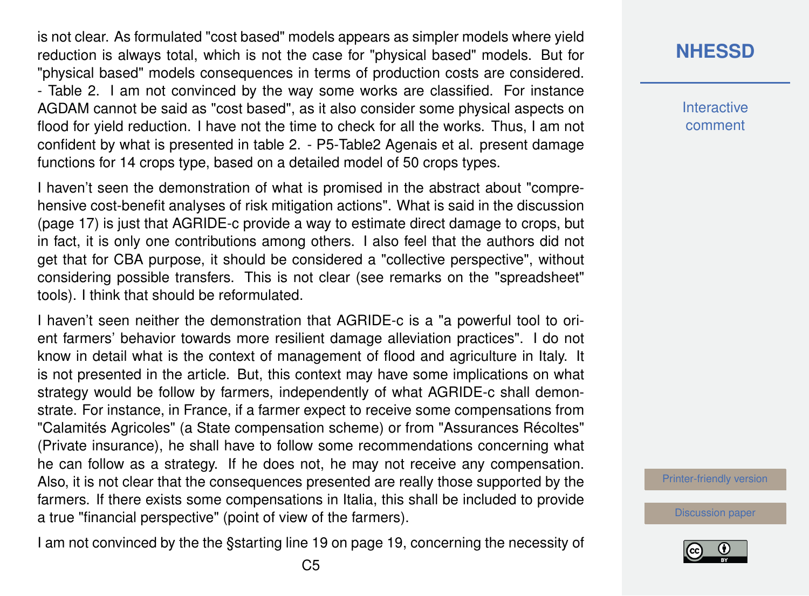is not clear. As formulated "cost based" models appears as simpler models where yield reduction is always total, which is not the case for "physical based" models. But for "physical based" models consequences in terms of production costs are considered. - Table 2. I am not convinced by the way some works are classified. For instance AGDAM cannot be said as "cost based", as it also consider some physical aspects on flood for yield reduction. I have not the time to check for all the works. Thus, I am not confident by what is presented in table 2. - P5-Table2 Agenais et al. present damage functions for 14 crops type, based on a detailed model of 50 crops types.

I haven't seen the demonstration of what is promised in the abstract about "comprehensive cost-benefit analyses of risk mitigation actions". What is said in the discussion (page 17) is just that AGRIDE-c provide a way to estimate direct damage to crops, but in fact, it is only one contributions among others. I also feel that the authors did not get that for CBA purpose, it should be considered a "collective perspective", without considering possible transfers. This is not clear (see remarks on the "spreadsheet" tools). I think that should be reformulated.

I haven't seen neither the demonstration that AGRIDE-c is a "a powerful tool to orient farmers' behavior towards more resilient damage alleviation practices". I do not know in detail what is the context of management of flood and agriculture in Italy. It is not presented in the article. But, this context may have some implications on what strategy would be follow by farmers, independently of what AGRIDE-c shall demonstrate. For instance, in France, if a farmer expect to receive some compensations from "Calamités Agricoles" (a State compensation scheme) or from "Assurances Récoltes" (Private insurance), he shall have to follow some recommendations concerning what he can follow as a strategy. If he does not, he may not receive any compensation. Also, it is not clear that the consequences presented are really those supported by the farmers. If there exists some compensations in Italia, this shall be included to provide a true "financial perspective" (point of view of the farmers).

I am not convinced by the the §starting line 19 on page 19, concerning the necessity of

### **[NHESSD](https://www.nat-hazards-earth-syst-sci-discuss.net/)**

**Interactive** comment

[Printer-friendly version](https://www.nat-hazards-earth-syst-sci-discuss.net/nhess-2019-61/nhess-2019-61-RC3-print.pdf)

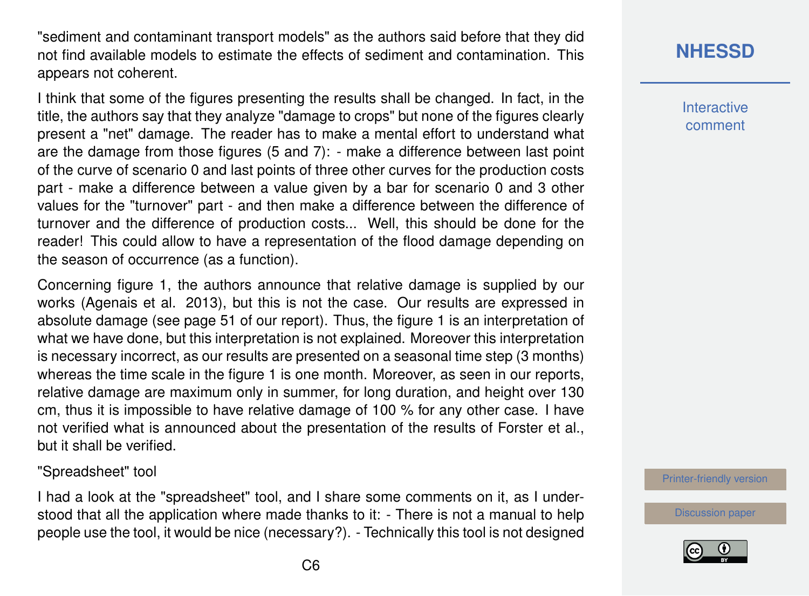"sediment and contaminant transport models" as the authors said before that they did not find available models to estimate the effects of sediment and contamination. This appears not coherent.

I think that some of the figures presenting the results shall be changed. In fact, in the title, the authors say that they analyze "damage to crops" but none of the figures clearly present a "net" damage. The reader has to make a mental effort to understand what are the damage from those figures (5 and 7): - make a difference between last point of the curve of scenario 0 and last points of three other curves for the production costs part - make a difference between a value given by a bar for scenario 0 and 3 other values for the "turnover" part - and then make a difference between the difference of turnover and the difference of production costs... Well, this should be done for the reader! This could allow to have a representation of the flood damage depending on the season of occurrence (as a function).

Concerning figure 1, the authors announce that relative damage is supplied by our works (Agenais et al. 2013), but this is not the case. Our results are expressed in absolute damage (see page 51 of our report). Thus, the figure 1 is an interpretation of what we have done, but this interpretation is not explained. Moreover this interpretation is necessary incorrect, as our results are presented on a seasonal time step (3 months) whereas the time scale in the figure 1 is one month. Moreover, as seen in our reports, relative damage are maximum only in summer, for long duration, and height over 130 cm, thus it is impossible to have relative damage of 100 % for any other case. I have not verified what is announced about the presentation of the results of Forster et al., but it shall be verified.

#### "Spreadsheet" tool

I had a look at the "spreadsheet" tool, and I share some comments on it, as I understood that all the application where made thanks to it: - There is not a manual to help people use the tool, it would be nice (necessary?). - Technically this tool is not designed

# **[NHESSD](https://www.nat-hazards-earth-syst-sci-discuss.net/)**

**Interactive** comment

[Printer-friendly version](https://www.nat-hazards-earth-syst-sci-discuss.net/nhess-2019-61/nhess-2019-61-RC3-print.pdf)

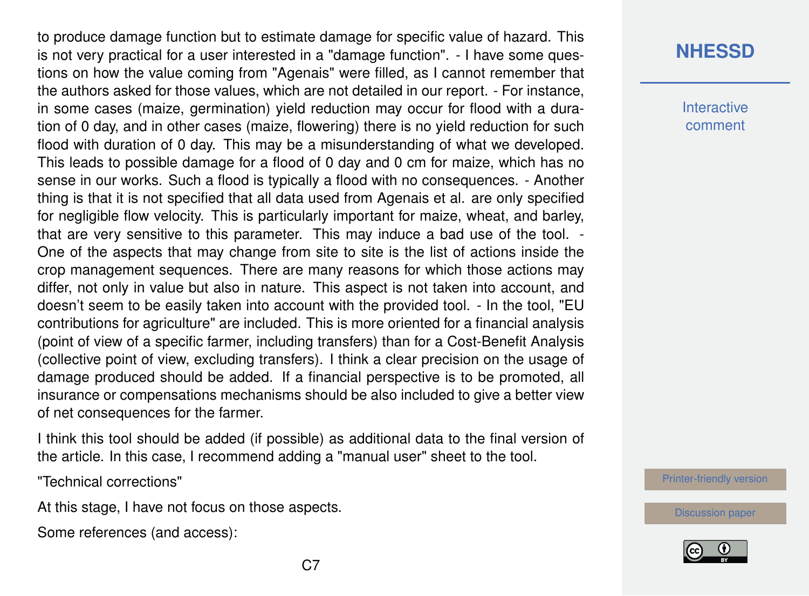to produce damage function but to estimate damage for specific value of hazard. This is not very practical for a user interested in a "damage function". - I have some questions on how the value coming from "Agenais" were filled, as I cannot remember that the authors asked for those values, which are not detailed in our report. - For instance, in some cases (maize, germination) yield reduction may occur for flood with a duration of 0 day, and in other cases (maize, flowering) there is no yield reduction for such flood with duration of 0 day. This may be a misunderstanding of what we developed. This leads to possible damage for a flood of 0 day and 0 cm for maize, which has no sense in our works. Such a flood is typically a flood with no consequences. - Another thing is that it is not specified that all data used from Agenais et al. are only specified for negligible flow velocity. This is particularly important for maize, wheat, and barley, that are very sensitive to this parameter. This may induce a bad use of the tool. - One of the aspects that may change from site to site is the list of actions inside the crop management sequences. There are many reasons for which those actions may differ, not only in value but also in nature. This aspect is not taken into account, and doesn't seem to be easily taken into account with the provided tool. - In the tool, "EU contributions for agriculture" are included. This is more oriented for a financial analysis (point of view of a specific farmer, including transfers) than for a Cost-Benefit Analysis (collective point of view, excluding transfers). I think a clear precision on the usage of damage produced should be added. If a financial perspective is to be promoted, all insurance or compensations mechanisms should be also included to give a better view of net consequences for the farmer.

I think this tool should be added (if possible) as additional data to the final version of the article. In this case, I recommend adding a "manual user" sheet to the tool.

"Technical corrections"

At this stage, I have not focus on those aspects.

Some references (and access):

### **[NHESSD](https://www.nat-hazards-earth-syst-sci-discuss.net/)**

**Interactive** comment

[Printer-friendly version](https://www.nat-hazards-earth-syst-sci-discuss.net/nhess-2019-61/nhess-2019-61-RC3-print.pdf)